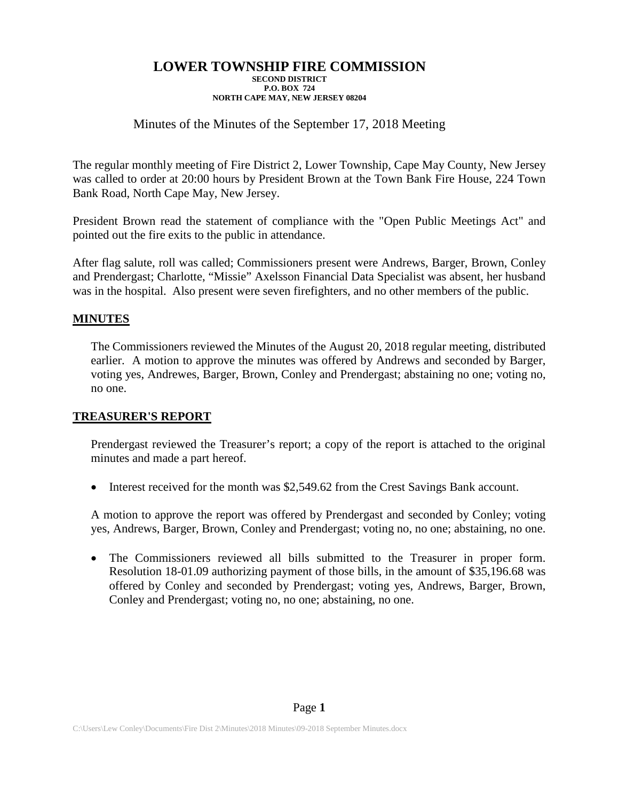## Minutes of the Minutes of the September 17, 2018 Meeting

The regular monthly meeting of Fire District 2, Lower Township, Cape May County, New Jersey was called to order at 20:00 hours by President Brown at the Town Bank Fire House, 224 Town Bank Road, North Cape May, New Jersey.

President Brown read the statement of compliance with the "Open Public Meetings Act" and pointed out the fire exits to the public in attendance.

After flag salute, roll was called; Commissioners present were Andrews, Barger, Brown, Conley and Prendergast; Charlotte, "Missie" Axelsson Financial Data Specialist was absent, her husband was in the hospital. Also present were seven firefighters, and no other members of the public.

### **MINUTES**

The Commissioners reviewed the Minutes of the August 20, 2018 regular meeting, distributed earlier. A motion to approve the minutes was offered by Andrews and seconded by Barger, voting yes, Andrewes, Barger, Brown, Conley and Prendergast; abstaining no one; voting no, no one.

### **TREASURER'S REPORT**

Prendergast reviewed the Treasurer's report; a copy of the report is attached to the original minutes and made a part hereof.

• Interest received for the month was \$2,549.62 from the Crest Savings Bank account.

A motion to approve the report was offered by Prendergast and seconded by Conley; voting yes, Andrews, Barger, Brown, Conley and Prendergast; voting no, no one; abstaining, no one.

• The Commissioners reviewed all bills submitted to the Treasurer in proper form. Resolution 18-01.09 authorizing payment of those bills, in the amount of \$35,196.68 was offered by Conley and seconded by Prendergast; voting yes, Andrews, Barger, Brown, Conley and Prendergast; voting no, no one; abstaining, no one.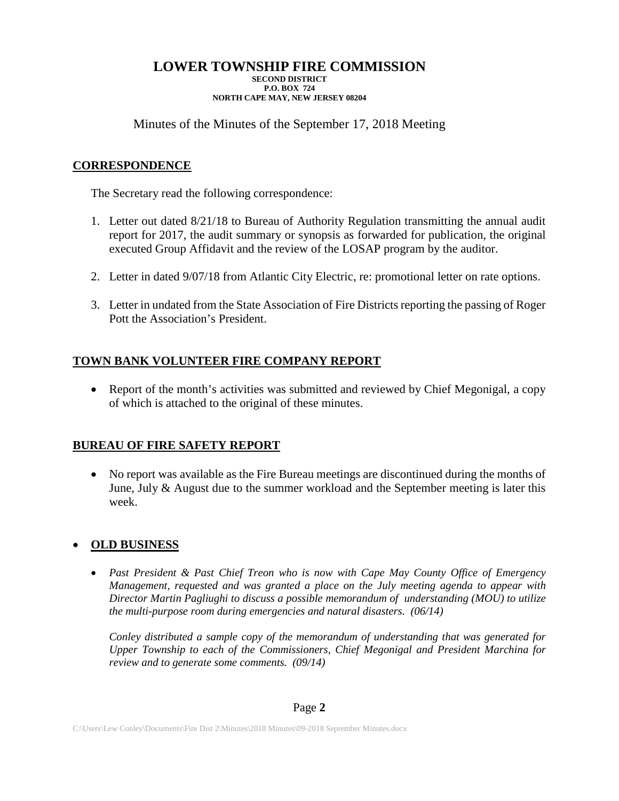Minutes of the Minutes of the September 17, 2018 Meeting

# **CORRESPONDENCE**

The Secretary read the following correspondence:

- 1. Letter out dated 8/21/18 to Bureau of Authority Regulation transmitting the annual audit report for 2017, the audit summary or synopsis as forwarded for publication, the original executed Group Affidavit and the review of the LOSAP program by the auditor.
- 2. Letter in dated 9/07/18 from Atlantic City Electric, re: promotional letter on rate options.
- 3. Letter in undated from the State Association of Fire Districts reporting the passing of Roger Pott the Association's President.

# **TOWN BANK VOLUNTEER FIRE COMPANY REPORT**

• Report of the month's activities was submitted and reviewed by Chief Megonigal, a copy of which is attached to the original of these minutes.

# **BUREAU OF FIRE SAFETY REPORT**

• No report was available as the Fire Bureau meetings are discontinued during the months of June, July & August due to the summer workload and the September meeting is later this week.

# • **OLD BUSINESS**

• *Past President & Past Chief Treon who is now with Cape May County Office of Emergency Management, requested and was granted a place on the July meeting agenda to appear with Director Martin Pagliughi to discuss a possible memorandum of understanding (MOU) to utilize the multi-purpose room during emergencies and natural disasters. (06/14)*

*Conley distributed a sample copy of the memorandum of understanding that was generated for Upper Township to each of the Commissioners, Chief Megonigal and President Marchina for review and to generate some comments. (09/14)*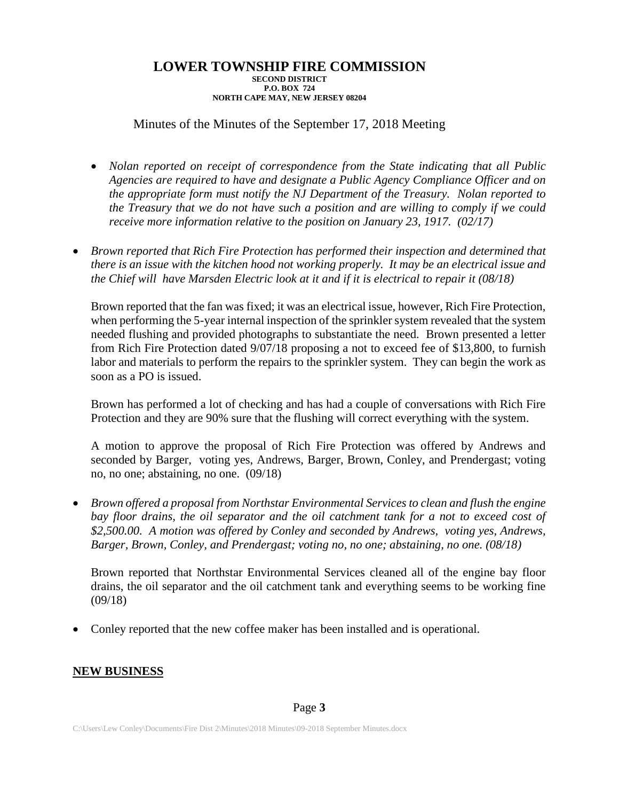### Minutes of the Minutes of the September 17, 2018 Meeting

- *Nolan reported on receipt of correspondence from the State indicating that all Public Agencies are required to have and designate a Public Agency Compliance Officer and on the appropriate form must notify the NJ Department of the Treasury. Nolan reported to the Treasury that we do not have such a position and are willing to comply if we could receive more information relative to the position on January 23, 1917. (02/17)*
- *Brown reported that Rich Fire Protection has performed their inspection and determined that there is an issue with the kitchen hood not working properly. It may be an electrical issue and the Chief will have Marsden Electric look at it and if it is electrical to repair it (08/18)*

Brown reported that the fan was fixed; it was an electrical issue, however, Rich Fire Protection, when performing the 5-year internal inspection of the sprinkler system revealed that the system needed flushing and provided photographs to substantiate the need. Brown presented a letter from Rich Fire Protection dated 9/07/18 proposing a not to exceed fee of \$13,800, to furnish labor and materials to perform the repairs to the sprinkler system. They can begin the work as soon as a PO is issued.

Brown has performed a lot of checking and has had a couple of conversations with Rich Fire Protection and they are 90% sure that the flushing will correct everything with the system.

A motion to approve the proposal of Rich Fire Protection was offered by Andrews and seconded by Barger, voting yes, Andrews, Barger, Brown, Conley, and Prendergast; voting no, no one; abstaining, no one. (09/18)

• *Brown offered a proposal from Northstar Environmental Services to clean and flush the engine*  bay floor drains, the oil separator and the oil catchment tank for a not to exceed cost of *\$2,500.00. A motion was offered by Conley and seconded by Andrews, voting yes, Andrews, Barger, Brown, Conley, and Prendergast; voting no, no one; abstaining, no one. (08/18)*

Brown reported that Northstar Environmental Services cleaned all of the engine bay floor drains, the oil separator and the oil catchment tank and everything seems to be working fine (09/18)

• Conley reported that the new coffee maker has been installed and is operational.

### **NEW BUSINESS**